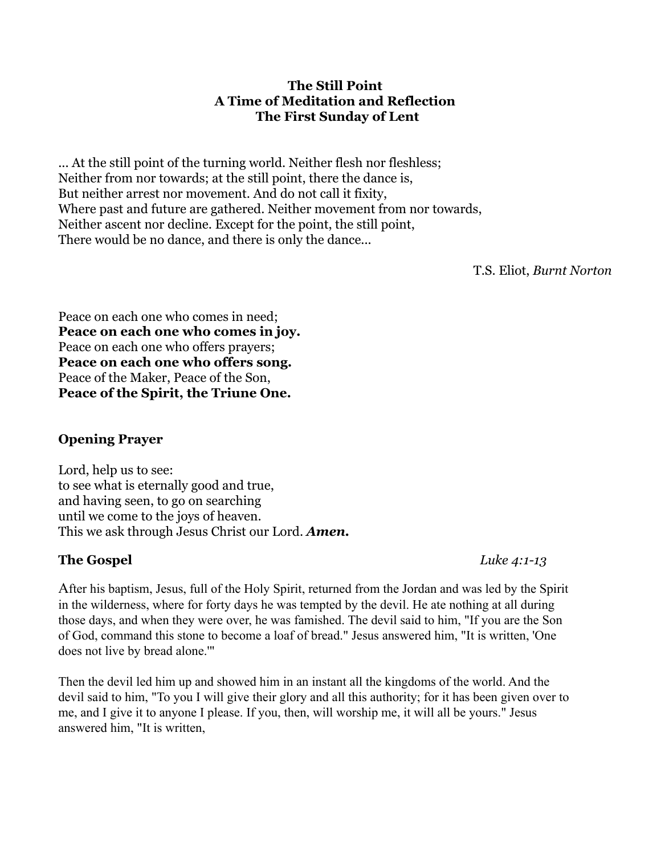#### **The Still Point A Time of Meditation and Reflection The First Sunday of Lent**

... At the still point of the turning world. Neither flesh nor fleshless; Neither from nor towards; at the still point, there the dance is, But neither arrest nor movement. And do not call it fixity, Where past and future are gathered. Neither movement from nor towards, Neither ascent nor decline. Except for the point, the still point, There would be no dance, and there is only the dance...

T.S. Eliot, *Burnt Norton*

Peace on each one who comes in need; **Peace on each one who comes in joy.** Peace on each one who offers prayers; **Peace on each one who offers song.** Peace of the Maker, Peace of the Son, **Peace of the Spirit, the Triune One.**

# **Opening Prayer**

Lord, help us to see: to see what is eternally good and true, and having seen, to go on searching until we come to the joys of heaven. This we ask through Jesus Christ our Lord. *Amen.*

#### **The Gospel** *Luke 4:1-13*

After his baptism, Jesus, full of the Holy Spirit, returned from the Jordan and was led by the Spirit in the wilderness, where for forty days he was tempted by the devil. He ate nothing at all during those days, and when they were over, he was famished. The devil said to him, "If you are the Son of God, command this stone to become a loaf of bread." Jesus answered him, "It is written, 'One does not live by bread alone.'"

Then the devil led him up and showed him in an instant all the kingdoms of the world. And the devil said to him, "To you I will give their glory and all this authority; for it has been given over to me, and I give it to anyone I please. If you, then, will worship me, it will all be yours." Jesus answered him, "It is written,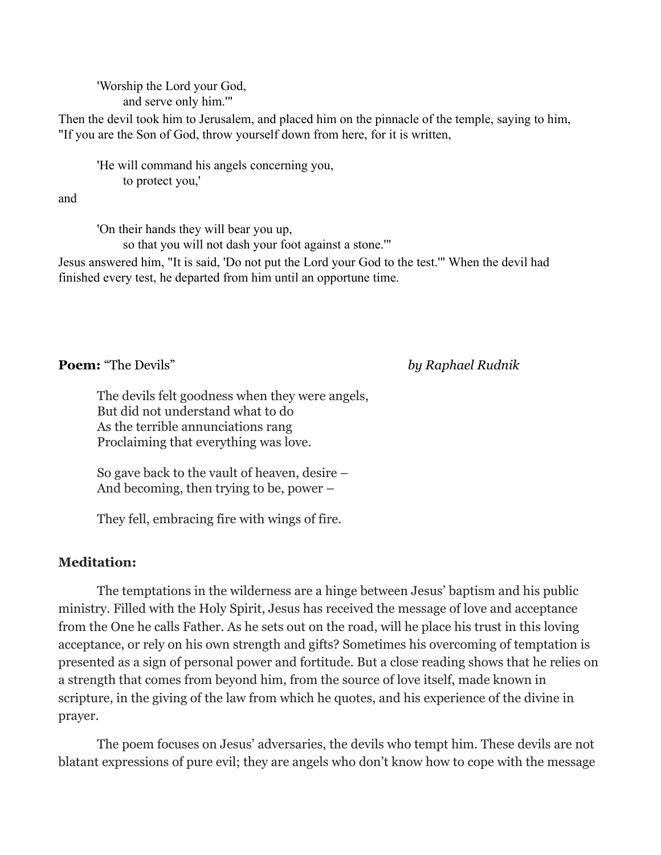'Worship the Lord your God, and serve only him.'"

Then the devil took him to Jerusalem, and placed him on the pinnacle of the temple, saying to him, "If you are the Son of God, throw yourself down from here, for it is written,

'He will command his angels concerning you, to protect you,'

and

'On their hands they will bear you up,

so that you will not dash your foot against a stone.'"

Jesus answered him, "It is said, 'Do not put the Lord your God to the test.'" When the devil had finished every test, he departed from him until an opportune time.

**Poem:** "The Devils" *by Raphael Rudnik*

The devils felt goodness when they were angels, But did not understand what to do As the terrible annunciations rang Proclaiming that everything was love.

So gave back to the vault of heaven, desire – And becoming, then trying to be, power –

They fell, embracing fire with wings of fire.

# **Meditation:**

The temptations in the wilderness are a hinge between Jesus' baptism and his public ministry. Filled with the Holy Spirit, Jesus has received the message of love and acceptance from the One he calls Father. As he sets out on the road, will he place his trust in this loving acceptance, or rely on his own strength and gifts? Sometimes his overcoming of temptation is presented as a sign of personal power and fortitude. But a close reading shows that he relies on a strength that comes from beyond him, from the source of love itself, made known in scripture, in the giving of the law from which he quotes, and his experience of the divine in prayer.

The poem focuses on Jesus' adversaries, the devils who tempt him. These devils are not blatant expressions of pure evil; they are angels who don't know how to cope with the message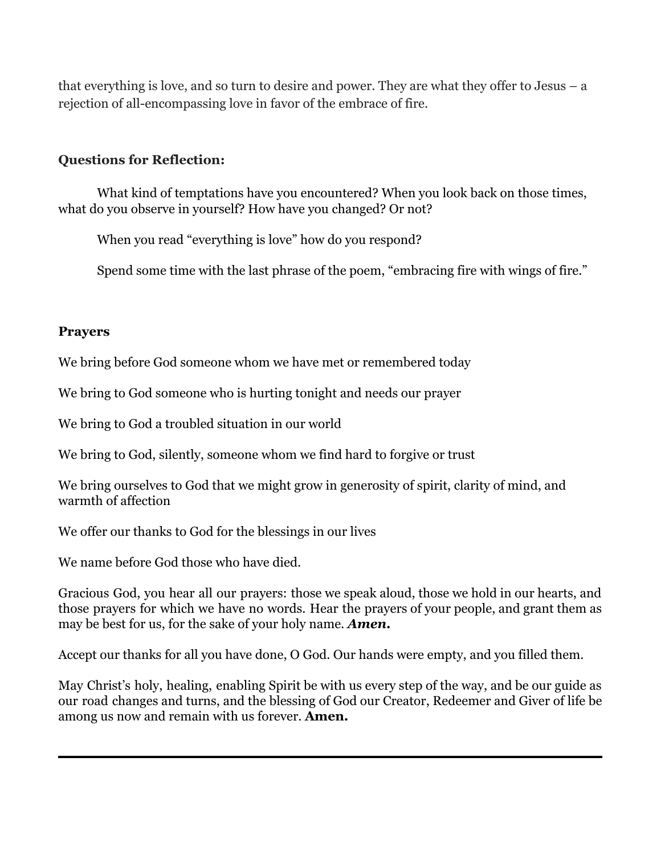that everything is love, and so turn to desire and power. They are what they offer to Jesus – a rejection of all-encompassing love in favor of the embrace of fire.

## **Questions for Reflection:**

What kind of temptations have you encountered? When you look back on those times, what do you observe in yourself? How have you changed? Or not?

When you read "everything is love" how do you respond?

Spend some time with the last phrase of the poem, "embracing fire with wings of fire."

### **Prayers**

We bring before God someone whom we have met or remembered today

We bring to God someone who is hurting tonight and needs our prayer

We bring to God a troubled situation in our world

We bring to God, silently, someone whom we find hard to forgive or trust

We bring ourselves to God that we might grow in generosity of spirit, clarity of mind, and warmth of affection

We offer our thanks to God for the blessings in our lives

We name before God those who have died.

Gracious God, you hear all our prayers: those we speak aloud, those we hold in our hearts, and those prayers for which we have no words. Hear the prayers of your people, and grant them as may be best for us, for the sake of your holy name*. Amen***.**

Accept our thanks for all you have done, O God. Our hands were empty, and you filled them.

May Christ's holy, healing, enabling Spirit be with us every step of the way, and be our guide as our road changes and turns, and the blessing of God our Creator, Redeemer and Giver of life be among us now and remain with us forever. **Amen.**